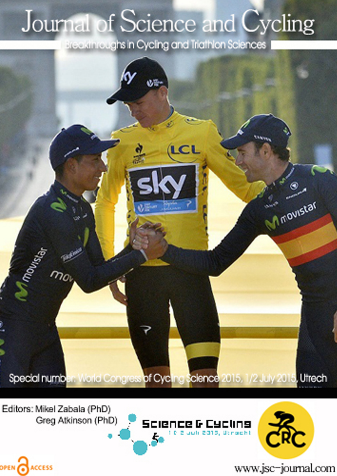## Journal of Science and Cycling

Breakthroughs in Cycling and Triathlon Sciences



Editors: Mikel Zabala (PhD) Greg Atkinson (PhD)

OPEN CACCESS





www.jsc-journal.com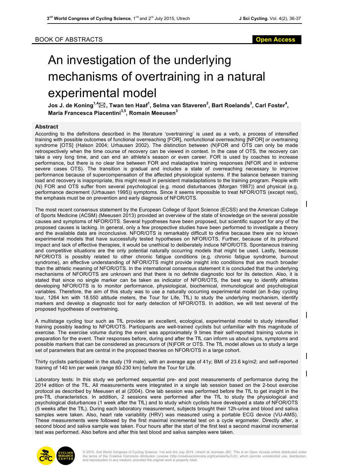## BOOK OF ABSTRACTS **Open Access**

## An investigation of the underlying mechanisms of overtraining in a natural experimental model

**Jos J. de Koning1,4**\***, Twan ten Haaf<sup>1</sup> , Selma van Staveren<sup>2</sup> , Bart Roelands<sup>3</sup> , Carl Foster<sup>4</sup> , Maria Francesca Piacentini3,5, Romain Meeusen3**

## **Abstract**

According to the definitions described in the literature 'overtraining' is used as a verb, a process of intensified training with possible outcomes of functional overreaching [FOR], nonfunctional overreaching [NFOR] or overtraining syndrome [OTS] (Halson 2004; Urhausen 2002). The distinction between (N)FOR and OTS can only be made retrospectively when the time course of recovery can be viewed in context. In the case of OTS, the recovery can take a very long time, and can end an athlete's season or even career. FOR is used by coaches to increase performance, but there is no clear line between FOR and maladaptive training responses (NFOR and in extreme severe cases OTS). The transition is gradual and includes a state of overreaching necessary to improve performance because of supercompensation of the affected physiological systems. If the balance between training load and recovery is inappropriate, this might result in persistent maladaptations to the training program. People with (N) FOR and OTS suffer from several psychological (e.g. mood disturbances (Morgan 1987)) and physical (e.g. performance decrement (Urhausen 1995)) symptoms. Since it seems impossible to treat NFOR/OTS (except rest), the emphasis must be on prevention and early diagnosis of NFOR/OTS.

The most recent consensus statement by the European College of Sport Science (ECSS) and the American College of Sports Medicine (ACSM) (Meeusen 2013) provided an overview of the state of knowledge on the several possible causes and symptoms of NFOR/OTS. Several hypotheses have been proposed, but scientific support for any of the proposed causes is lacking. In general, only a few prospective studies have been performed to investigate a theory and the available data are inconclusive. NFOR/OTS is remarkably difficult to define because there are no known experimental models that have successfully tested hypotheses on NFOR/OTS. Further, because of its profound impact and lack of effective therapies, it would be unethical to deliberately induce NFOR/OTS. Spontaneous training and competitive situations are the only potential naturally occurring models that might be used. Lastly, because NFOR/OTS is possibly related to other chronic fatigue conditions (e.g. chronic fatigue syndrome, burnout syndrome), an effective understanding of NFOR/OTS might provide insight into conditions that are much broader than the athletic meaning of NFOR/OTS. In the international consensus statement it is concluded that the underlying mechanisms of NFOR/OTS are unknown and that there is no definite diagnostic tool for its detection. Also, it is stated that since no single marker can be taken as indicator of NFOR/OTS, the best way to identify athletes developing NFOR/OTS is to monitor performance, physiological, biochemical, immunological and psychological variables. Therefore, the aim of this study was to use a naturally occurring experimental model (an 8-day cycling tour, 1264 km with 18.550 altitude meters, the Tour for Life, TfL) to study the underlying mechanism, identify markers and develop a diagnostic tool for early detection of NFOR/OTS. In addition, we will test several of the proposed hypotheses of overtraining.

A multistage cycling tour such as TfL provides an excellent, ecological, experimental model to study intensified training possibly leading to NFOR/OTS. Participants are well-trained cyclists but unfamiliar with this magnitude of exercise. The exercise volume during the event was approximately 9 times their self-reported training volume in preparation for the event. Their responses before, during and after the TfL can inform us about signs, symptoms and possible markers that can be considered as precursors of (N)FOR or OTS. The TfL model allows us to study a large set of parameters that are central in the proposed theories on NFOR/OTS in a large cohort.

Thirty cyclists participated in the study (19 male), with an average age of 41y; BMI of 23.6 kg/m2; and self-reported training of 140 km per week (range 60-230 km) before the Tour for Life.

Laboratory tests: In this study we performed sequential pre- and post measurements of performance during the 2014 edition of the TfL. All measurements were integrated in a single lab session based on the 2-bout exercise protocol as described by Meeusen et al (2004). One lab session was performed before the TfL to get insight in the pre-TfL characteristics. In addition, 2 sessions were performed after the TfL to study the physiological and psychological disturbances (1 week after the TfL) and to study which cyclists have developed a state of NFOR/OTS (5 weeks after the TfL). During each laboratory measurement, subjects brought their 12h-urine and blood and saliva samples were taken. Also, heart rate variability (HRV) was measured using a portable ECG device (VU-AMS). These measurements were followed by the first maximal incremental test on a cycle ergometer. Directly after, a second blood and saliva sample was taken. Four hours after the start of the first test a second maximal incremental test was performed. Also before and after this test blood and saliva samples were taken.